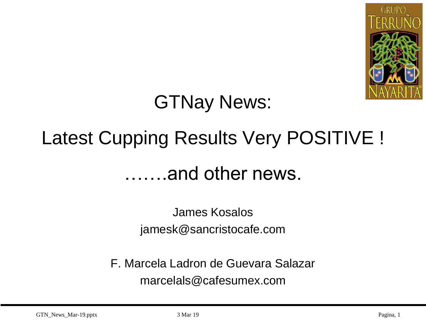

## GTNay News:

# Latest Cupping Results Very POSITIVE ! …….and other news.

James Kosalos jamesk@sancristocafe.com

F. Marcela Ladron de Guevara Salazar marcelals@cafesumex.com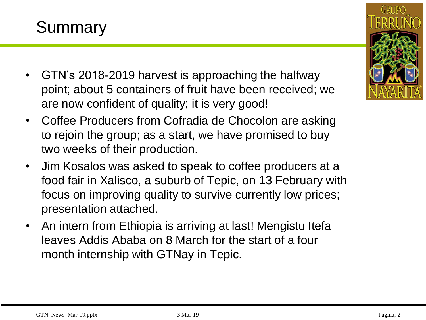#### Summary

- GTN's 2018-2019 harvest is approaching the halfway point; about 5 containers of fruit have been received; we are now confident of quality; it is very good!
- Coffee Producers from Cofradia de Chocolon are asking to rejoin the group; as a start, we have promised to buy two weeks of their production.
- Jim Kosalos was asked to speak to coffee producers at a food fair in Xalisco, a suburb of Tepic, on 13 February with focus on improving quality to survive currently low prices; presentation attached.
- An intern from Ethiopia is arriving at last! Mengistu Itefa leaves Addis Ababa on 8 March for the start of a four month internship with GTNay in Tepic.

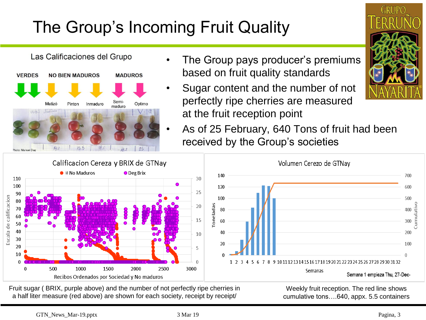## The Group's Incoming Fruit Quality



- The Group pays producer's premiums based on fruit quality standards
- Sugar content and the number of not perfectly ripe cherries are measured at the fruit reception point
- As of 25 February, 640 Tons of fruit had been received by the Group's societies





Fruit sugar ( BRIX, purple above) and the number of not perfectly ripe cherries in a half liter measure (red above) are shown for each society, receipt by receipt/

Weekly fruit reception. The red line shows cumulative tons….640, appx. 5.5 containers

Cumulativo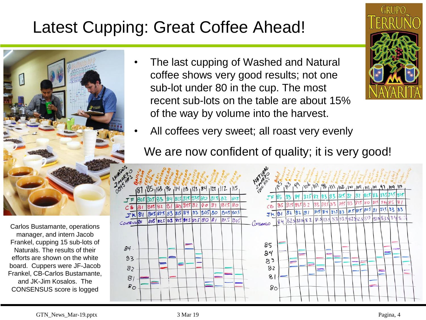#### Latest Cupping: Great Coffee Ahead!



Carlos Bustamante, operations manager, and intern Jacob Frankel, cupping 15 sub-lots of Naturals. The results of their efforts are shown on the white board. Cuppers were JF-Jacob Frankel, CB-Carlos Bustamante, and JK-Jim Kosalos. The CONSENSUS score is logged

• The last cupping of Washed and Natural coffee shows very good results; not one sub-lot under 80 in the cup. The most recent sub-lots on the table are about 15% of the way by volume into the harvest.



All coffees very sweet; all roast very evenly

We are now confident of quality; it is very good!



GTN\_News\_Mar-19.pptx 3 Mar 19 Pagina, 4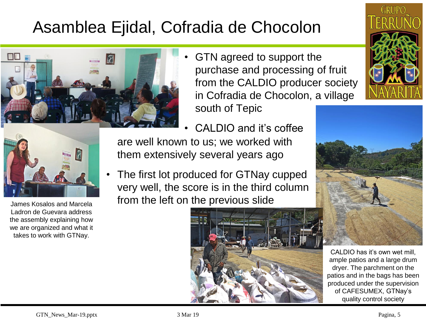### Asamblea Ejidal, Cofradia de Chocolon



• GTN agreed to support the purchase and processing of fruit from the CALDIO producer society in Cofradia de Chocolon, a village south of Tepic



James Kosalos and Marcela Ladron de Guevara address the assembly explaining how we are organized and what it takes to work with GTNay.

• CALDIO and it's coffee are well known to us; we worked with them extensively several years ago

• The first lot produced for GTNay cupped very well, the score is in the third column from the left on the previous slide







CALDIO has it's own wet mill, ample patios and a large drum dryer. The parchment on the patios and in the bags has been produced under the supervision of CAFESUMEX, GTNay's quality control society